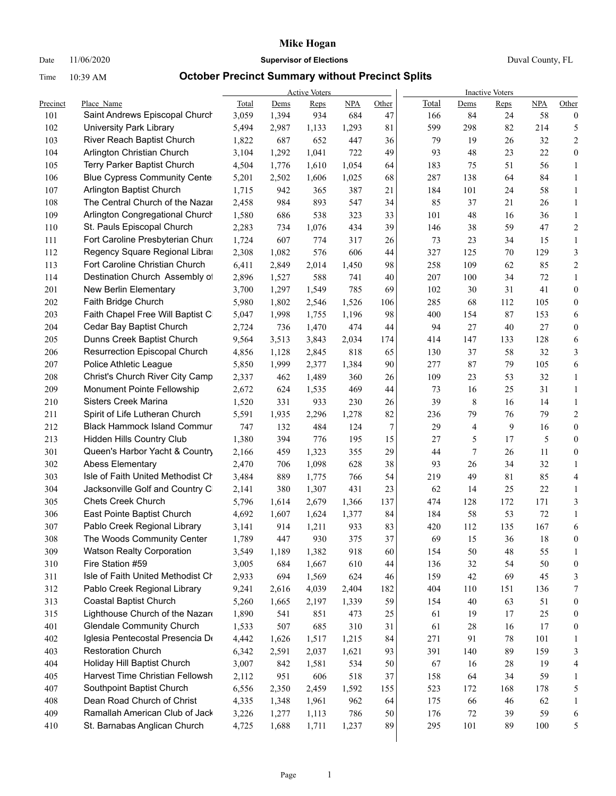### Date 11/06/2020 **Supervisor of Elections** Duval County, FL

|            |                                                                 |                |                | <b>Active Voters</b> |              |           | <b>Inactive Voters</b> |           |             |           |                   |  |
|------------|-----------------------------------------------------------------|----------------|----------------|----------------------|--------------|-----------|------------------------|-----------|-------------|-----------|-------------------|--|
| Precinct   | Place Name                                                      | Total          | Dems           | Reps                 | NPA          | Other     | Total                  | Dems      | <b>Reps</b> | NPA       | Other             |  |
| 101        | Saint Andrews Episcopal Church                                  | 3,059          | 1,394          | 934                  | 684          | 47        | 166                    | 84        | 24          | 58        | $\boldsymbol{0}$  |  |
| 102        | University Park Library                                         | 5,494          | 2,987          | 1,133                | 1,293        | 81        | 599                    | 298       | 82          | 214       | 5                 |  |
| 103        | River Reach Baptist Church                                      | 1,822          | 687            | 652                  | 447          | 36        | 79                     | 19        | 26          | 32        | 2                 |  |
| 104        | Arlington Christian Church                                      | 3,104          | 1,292          | 1,041                | 722          | 49        | 93                     | 48        | 23          | 22        | $\boldsymbol{0}$  |  |
| 105        | Terry Parker Baptist Church                                     | 4,504          | 1,776          | 1,610                | 1,054        | 64        | 183                    | 75        | 51          | 56        | $\mathbf{1}$      |  |
| 106        | <b>Blue Cypress Community Cente</b>                             | 5,201          | 2,502          | 1,606                | 1,025        | 68        | 287                    | 138       | 64          | 84        | $\mathbf{1}$      |  |
| 107        | Arlington Baptist Church                                        | 1,715          | 942            | 365                  | 387          | 21        | 184                    | 101       | 24          | 58        | $\mathbf{1}$      |  |
| 108        | The Central Church of the Nazar                                 | 2,458          | 984            | 893                  | 547          | 34        | 85                     | 37        | 21          | 26        | $\mathbf{1}$      |  |
| 109        | Arlington Congregational Church                                 | 1,580          | 686            | 538                  | 323          | 33        | 101                    | $48\,$    | 16          | 36        | $\mathbf{1}$      |  |
| 110        | St. Pauls Episcopal Church                                      | 2,283          | 734            | 1,076                | 434          | 39        | 146                    | 38        | 59          | 47        | $\overline{c}$    |  |
| 111        | Fort Caroline Presbyterian Churo                                | 1,724          | 607            | 774                  | 317          | 26        | 73                     | 23        | 34          | 15        | 1                 |  |
| 112        | Regency Square Regional Libra<br>Fort Caroline Christian Church | 2,308          | 1,082          | 576                  | 606          | 44        | 327                    | 125       | 70          | 129       | 3                 |  |
| 113        |                                                                 | 6,411          | 2,849          | 2,014                | 1,450        | 98        | 258                    | 109       | 62          | 85        | 2                 |  |
| 114        | Destination Church Assembly of                                  | 2,896          | 1,527          | 588                  | 741          | 40        | 207                    | 100       | 34          | 72        | $\mathbf{1}$      |  |
| 201        | New Berlin Elementary<br>Faith Bridge Church                    | 3,700          | 1,297          | 1,549                | 785          | 69        | 102                    | 30        | 31          | 41        | $\boldsymbol{0}$  |  |
| 202        |                                                                 | 5,980          | 1,802          | 2,546                | 1,526        | 106       | 285                    | 68        | 112         | 105       | $\boldsymbol{0}$  |  |
| 203        | Faith Chapel Free Will Baptist C                                | 5,047          | 1,998          | 1,755                | 1,196        | 98        | 400                    | 154       | 87          | 153       | 6                 |  |
| 204        | Cedar Bay Baptist Church                                        | 2,724          | 736            | 1,470                | 474          | 44        | 94                     | 27        | 40          | 27        | $\boldsymbol{0}$  |  |
| 205        | Dunns Creek Baptist Church                                      | 9,564          | 3,513          | 3,843                | 2,034        | 174       | 414                    | 147       | 133         | 128       | 6                 |  |
| 206        | <b>Resurrection Episcopal Church</b>                            | 4,856          | 1,128          | 2,845                | 818          | 65        | 130                    | 37        | 58          | 32        | 3                 |  |
| 207        | Police Athletic League                                          | 5,850          | 1,999          | 2,377                | 1,384        | 90        | 277                    | 87        | 79          | 105       | 6                 |  |
| 208        | Christ's Church River City Camp                                 | 2,337          | 462            | 1,489                | 360          | 26        | 109                    | 23        | 53          | 32        | 1                 |  |
| 209        | Monument Pointe Fellowship                                      | 2,672          | 624            | 1,535                | 469          | 44        | 73                     | 16        | 25          | 31        | $\mathbf{1}$      |  |
| 210        | <b>Sisters Creek Marina</b>                                     | 1,520          | 331            | 933                  | 230          | 26        | 39                     | 8         | 16          | 14        | $\mathbf{1}$      |  |
| 211        | Spirit of Life Lutheran Church                                  | 5,591          | 1,935          | 2,296                | 1,278        | 82        | 236                    | 79        | 76          | 79        | 2                 |  |
| 212        | <b>Black Hammock Island Commur</b>                              | 747            | 132            | 484                  | 124          | 7         | 29                     | 4         | 9           | 16        | $\boldsymbol{0}$  |  |
| 213        | <b>Hidden Hills Country Club</b>                                | 1,380          | 394            | 776                  | 195          | 15        | 27                     | 5         | 17          | 5         | $\boldsymbol{0}$  |  |
| 301        | Queen's Harbor Yacht & Country                                  | 2,166          | 459            | 1,323                | 355          | 29        | 44                     | 7         | 26          | 11        | $\boldsymbol{0}$  |  |
| 302        | <b>Abess Elementary</b><br>Isle of Faith United Methodist Cr    | 2,470          | 706            | 1,098                | 628          | 38        | 93                     | 26        | 34          | 32        | $\mathbf{1}$      |  |
| 303<br>304 | Jacksonville Golf and Country C                                 | 3,484          | 889<br>380     | 1,775                | 766<br>431   | 54        | 219<br>62              | 49        | 81<br>25    | 85<br>22  | 4                 |  |
| 305        | <b>Chets Creek Church</b>                                       | 2,141          |                | 1,307                |              | 23        | 474                    | 14        | 172         | 171       | $\mathbf{1}$      |  |
|            |                                                                 | 5,796          | 1,614          | 2,679                | 1,366        | 137       |                        | 128       | 53          | 72        | 3                 |  |
| 306<br>307 | East Pointe Baptist Church<br>Pablo Creek Regional Library      | 4,692<br>3,141 | 1,607<br>914   | 1,624<br>1,211       | 1,377<br>933 | 84<br>83  | 184<br>420             | 58<br>112 | 135         | 167       | $\mathbf{1}$<br>6 |  |
|            | The Woods Community Center                                      |                |                |                      | 375          | 37        |                        |           |             |           | $\Omega$          |  |
| 308<br>309 | <b>Watson Realty Corporation</b>                                | 1,789<br>3,549 | 447            | 930                  |              |           | 69                     | 15        | 36          | 18        |                   |  |
|            | Fire Station #59                                                |                | 1,189          | 1,382                | 918          | 60        | 154                    | 50<br>32  | 48<br>54    | 55<br>50  | 1                 |  |
| 310<br>311 | Isle of Faith United Methodist Cr                               | 3,005<br>2,933 | 684<br>694     | 1,667<br>1,569       | 610<br>624   | 44<br>46  | 136<br>159             | 42        | 69          | 45        | 0                 |  |
| 312        | Pablo Creek Regional Library                                    | 9,241          | 2,616          | 4,039                | 2,404        | 182       | 404                    | 110       |             | 136       | 3<br>7            |  |
| 313        | Coastal Baptist Church                                          | 5,260          |                | 2,197                |              | 59        | 154                    | 40        | 151<br>63   | 51        | $\boldsymbol{0}$  |  |
| 315        | Lighthouse Church of the Nazar                                  | 1,890          | 1,665<br>541   | 851                  | 1,339<br>473 | 25        | 61                     | 19        | 17          | 25        | 0                 |  |
| 401        | <b>Glendale Community Church</b>                                | 1,533          | 507            | 685                  | 310          | 31        | 61                     | 28        | 16          | 17        | $\boldsymbol{0}$  |  |
| 402        | Iglesia Pentecostal Presencia Do                                | 4,442          | 1,626          | 1,517                | 1,215        | 84        | 271                    | 91        | 78          | 101       |                   |  |
| 403        | <b>Restoration Church</b>                                       | 6,342          | 2,591          |                      | 1,621        | 93        | 391                    | 140       | 89          | 159       | 1                 |  |
| 404        | Holiday Hill Baptist Church                                     | 3,007          | 842            | 2,037                | 534          | 50        | 67                     | 16        | 28          | 19        | 3<br>4            |  |
|            | Harvest Time Christian Fellowsh                                 |                |                | 1,581                |              |           |                        |           |             |           |                   |  |
| 405        | Southpoint Baptist Church                                       | 2,112          | 951            | 606                  | 518          | 37        | 158                    | 64        | 34          | 59        | 1                 |  |
| 407<br>408 | Dean Road Church of Christ                                      | 6,556<br>4,335 | 2,350          | 2,459<br>1,961       | 1,592<br>962 | 155<br>64 | 523<br>175             | 172<br>66 | 168<br>46   | 178<br>62 | 5                 |  |
| 409        | Ramallah American Club of Jack                                  | 3,226          | 1,348<br>1,277 | 1,113                | 786          | 50        | 176                    | 72        | 39          | 59        | 1<br>6            |  |
| 410        | St. Barnabas Anglican Church                                    | 4,725          | 1,688          | 1,711                | 1,237        | 89        | 295                    | 101       | 89          | 100       | 5                 |  |
|            |                                                                 |                |                |                      |              |           |                        |           |             |           |                   |  |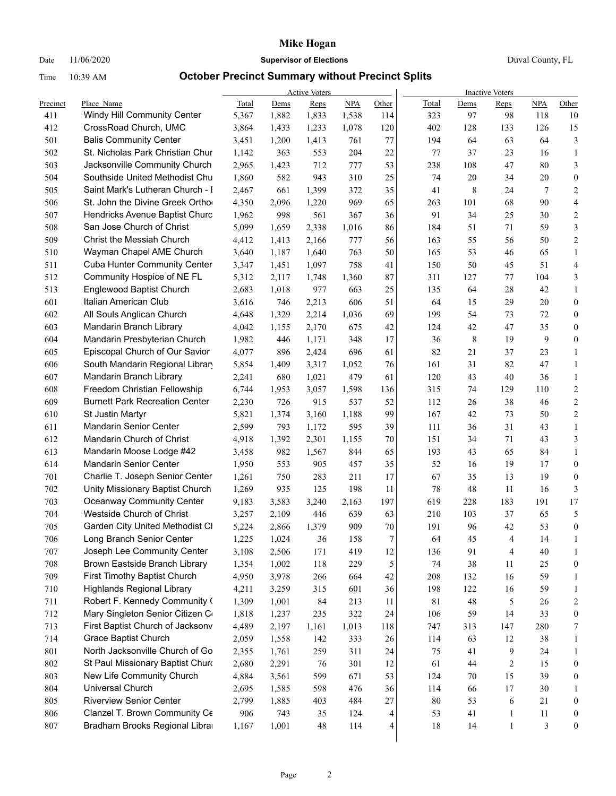### Date 11/06/2020 **Supervisor of Elections** Duval County, FL

|          |                                       |       |       | <b>Active Voters</b> |            |                  | <b>Inactive Voters</b> |        |                |        |                  |  |
|----------|---------------------------------------|-------|-------|----------------------|------------|------------------|------------------------|--------|----------------|--------|------------------|--|
| Precinct | Place Name                            | Total | Dems  | Reps                 | <b>NPA</b> | Other            | Total                  | Dems   | Reps           | NPA    | Other            |  |
| 411      | Windy Hill Community Center           | 5,367 | 1,882 | 1,833                | 1,538      | 114              | 323                    | 97     | 98             | 118    | 10               |  |
| 412      | CrossRoad Church, UMC                 | 3,864 | 1,433 | 1,233                | 1,078      | 120              | 402                    | 128    | 133            | 126    | 15               |  |
| 501      | <b>Balis Community Center</b>         | 3,451 | 1,200 | 1,413                | 761        | 77               | 194                    | 64     | 63             | 64     | $\mathfrak{Z}$   |  |
| 502      | St. Nicholas Park Christian Chur      | 1,142 | 363   | 553                  | 204        | 22               | 77                     | 37     | 23             | 16     | $\mathbf{1}$     |  |
| 503      | Jacksonville Community Church         | 2,965 | 1,423 | 712                  | 777        | 53               | 238                    | 108    | 47             | 80     | 3                |  |
| 504      | Southside United Methodist Chu        | 1,860 | 582   | 943                  | 310        | 25               | 74                     | 20     | 34             | 20     | $\boldsymbol{0}$ |  |
| 505      | Saint Mark's Lutheran Church - I      | 2,467 | 661   | 1,399                | 372        | 35               | 41                     | 8      | 24             | 7      | $\overline{c}$   |  |
| 506      | St. John the Divine Greek Ortho       | 4,350 | 2,096 | 1,220                | 969        | 65               | 263                    | 101    | 68             | 90     | 4                |  |
| 507      | Hendricks Avenue Baptist Churc        | 1,962 | 998   | 561                  | 367        | 36               | 91                     | 34     | 25             | 30     | 2                |  |
| 508      | San Jose Church of Christ             | 5,099 | 1,659 | 2,338                | 1,016      | 86               | 184                    | 51     | 71             | 59     | 3                |  |
| 509      | Christ the Messiah Church             | 4,412 | 1,413 | 2,166                | 777        | 56               | 163                    | 55     | 56             | 50     | $\overline{c}$   |  |
| 510      | Wayman Chapel AME Church              | 3,640 | 1,187 | 1,640                | 763        | 50               | 165                    | 53     | 46             | 65     | $\mathbf{1}$     |  |
| 511      | <b>Cuba Hunter Community Center</b>   | 3,347 | 1,451 | 1,097                | 758        | 41               | 150                    | 50     | 45             | 51     | 4                |  |
| 512      | Community Hospice of NE FL            | 5,312 | 2,117 | 1,748                | 1,360      | 87               | 311                    | 127    | 77             | 104    | 3                |  |
| 513      | Englewood Baptist Church              | 2,683 | 1,018 | 977                  | 663        | 25               | 135                    | 64     | 28             | 42     | $\mathbf{1}$     |  |
| 601      | Italian American Club                 | 3,616 | 746   | 2,213                | 606        | 51               | 64                     | 15     | 29             | 20     | $\boldsymbol{0}$ |  |
| 602      | All Souls Anglican Church             | 4,648 | 1,329 | 2,214                | 1,036      | 69               | 199                    | 54     | 73             | 72     | 0                |  |
| 603      | Mandarin Branch Library               | 4,042 | 1,155 | 2,170                | 675        | 42               | 124                    | 42     | 47             | 35     | 0                |  |
| 604      | Mandarin Presbyterian Church          | 1,982 | 446   | 1,171                | 348        | 17               | 36                     | 8      | 19             | 9      | $\boldsymbol{0}$ |  |
| 605      | Episcopal Church of Our Savior        | 4,077 | 896   | 2,424                | 696        | 61               | 82                     | 21     | 37             | 23     | $\mathbf{1}$     |  |
| 606      | South Mandarin Regional Librar        | 5,854 | 1,409 | 3,317                | 1,052      | 76               | 161                    | 31     | 82             | 47     | $\mathbf{1}$     |  |
| 607      | Mandarin Branch Library               | 2,241 | 680   | 1,021                | 479        | 61               | 120                    | 43     | 40             | 36     | $\mathbf{1}$     |  |
| 608      | Freedom Christian Fellowship          | 6,744 | 1,953 | 3,057                | 1,598      | 136              | 315                    | 74     | 129            | 110    | $\overline{2}$   |  |
| 609      | <b>Burnett Park Recreation Center</b> | 2,230 | 726   | 915                  | 537        | 52               | 112                    | 26     | 38             | 46     | 2                |  |
| 610      | St Justin Martyr                      | 5,821 | 1,374 | 3,160                | 1,188      | 99               | 167                    | 42     | 73             | 50     | $\overline{c}$   |  |
| 611      | <b>Mandarin Senior Center</b>         | 2,599 | 793   | 1,172                | 595        | 39               | 111                    | 36     | 31             | 43     | $\mathbf{1}$     |  |
| 612      | Mandarin Church of Christ             | 4,918 | 1,392 | 2,301                | 1,155      | 70               | 151                    | 34     | 71             | 43     | 3                |  |
| 613      | Mandarin Moose Lodge #42              | 3,458 | 982   | 1,567                | 844        | 65               | 193                    | 43     | 65             | 84     | $\mathbf{1}$     |  |
| 614      | <b>Mandarin Senior Center</b>         | 1,950 | 553   | 905                  | 457        | 35               | 52                     | 16     | 19             | 17     | $\boldsymbol{0}$ |  |
| 701      | Charlie T. Joseph Senior Center       | 1,261 | 750   | 283                  | 211        | 17               | 67                     | 35     | 13             | 19     | $\boldsymbol{0}$ |  |
| 702      | Unity Missionary Baptist Church       | 1,269 | 935   | 125                  | 198        | 11               | 78                     | 48     | 11             | 16     | 3                |  |
| 703      | <b>Oceanway Community Center</b>      | 9,183 | 3,583 | 3,240                | 2,163      | 197              | 619                    | 228    | 183            | 191    | 17               |  |
| 704      | Westside Church of Christ             | 3,257 | 2,109 | 446                  | 639        | 63               | 210                    | 103    | 37             | 65     | 5                |  |
| 705      | Garden City United Methodist Cl       | 5,224 | 2,866 | 1,379                | 909        | 70               | 191                    | 96     | 42             | 53     | $\boldsymbol{0}$ |  |
| 706      | Long Branch Senior Center             | 1,225 | 1,024 | 36                   | 158        | $\boldsymbol{7}$ | 64                     | 45     | $\overline{4}$ | 14     | $\mathbf{1}$     |  |
| 707      | Joseph Lee Community Center           | 3,108 | 2,506 | 171                  | 419        | 12               | 136                    | 91     | 4              | $40\,$ | 1                |  |
| 708      | Brown Eastside Branch Library         | 1,354 | 1,002 | 118                  | 229        | 5                | 74                     | 38     | $11\,$         | 25     | $\boldsymbol{0}$ |  |
| 709      | First Timothy Baptist Church          | 4,950 | 3,978 | 266                  | 664        | 42               | 208                    | 132    | 16             | 59     | 1                |  |
| 710      | <b>Highlands Regional Library</b>     | 4,211 | 3,259 | 315                  | 601        | 36               | 198                    | 122    | 16             | 59     | 1                |  |
| 711      | Robert F. Kennedy Community (         | 1,309 | 1,001 | 84                   | 213        | 11               | 81                     | $48\,$ | 5              | 26     | $\boldsymbol{2}$ |  |
| 712      | Mary Singleton Senior Citizen C       | 1,818 | 1,237 | 235                  | 322        | 24               | 106                    | 59     | 14             | 33     | $\boldsymbol{0}$ |  |
| 713      | First Baptist Church of Jacksonv      | 4,489 | 2,197 | 1,161                | 1,013      | 118              | 747                    | 313    | 147            | 280    | 7                |  |
| 714      | Grace Baptist Church                  | 2,059 | 1,558 | 142                  | 333        | 26               | 114                    | 63     | 12             | 38     | $\mathbf{1}$     |  |
| 801      | North Jacksonville Church of Go       | 2,355 | 1,761 | 259                  | 311        | 24               | 75                     | 41     | 9              | 24     | 1                |  |
| 802      | St Paul Missionary Baptist Churd      | 2,680 | 2,291 | 76                   | 301        | 12               | 61                     | 44     | $\overline{2}$ | 15     | $\boldsymbol{0}$ |  |
| 803      | New Life Community Church             | 4,884 | 3,561 | 599                  | 671        | 53               | 124                    | 70     | 15             | 39     | $\boldsymbol{0}$ |  |
| 804      | Universal Church                      | 2,695 | 1,585 | 598                  | 476        | 36               | 114                    | 66     | 17             | $30\,$ | $\mathbf{1}$     |  |
| 805      | <b>Riverview Senior Center</b>        | 2,799 | 1,885 | 403                  | 484        | 27               | 80                     | 53     | 6              | 21     | 0                |  |
| 806      | Clanzel T. Brown Community Ce         | 906   | 743   | 35                   | 124        | 4                | 53                     | 41     | $\mathbf{1}$   | 11     | 0                |  |
| 807      | Bradham Brooks Regional Libra         | 1,167 | 1,001 | $48\,$               | 114        | 4                | 18                     | 14     | $\mathbf{1}$   | 3      | 0                |  |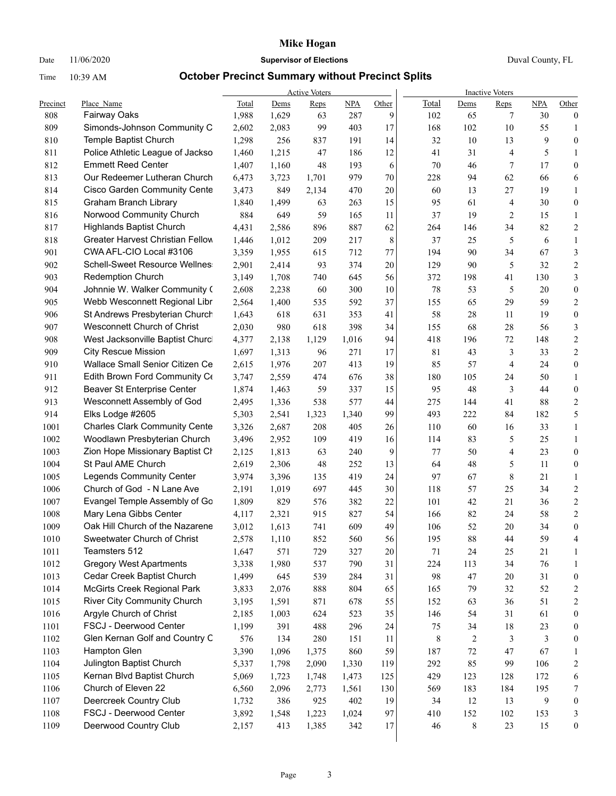### Date 11/06/2020 **Supervisor of Elections** Duval County, FL

|          |                                                               |       |       | <b>Active Voters</b> |       |       | <b>Inactive Voters</b> |        |                |     |                  |  |
|----------|---------------------------------------------------------------|-------|-------|----------------------|-------|-------|------------------------|--------|----------------|-----|------------------|--|
| Precinct | Place Name                                                    | Total | Dems  | Reps                 | NPA   | Other | Total                  | Dems   | Reps           | NPA | Other            |  |
| 808      | Fairway Oaks                                                  | 1,988 | 1,629 | 63                   | 287   | 9     | 102                    | 65     | 7              | 30  | $\boldsymbol{0}$ |  |
| 809      | Simonds-Johnson Community C                                   | 2,602 | 2,083 | 99                   | 403   | 17    | 168                    | 102    | 10             | 55  | $\mathbf{1}$     |  |
| 810      | Temple Baptist Church                                         | 1,298 | 256   | 837                  | 191   | 14    | 32                     | 10     | 13             | 9   | $\boldsymbol{0}$ |  |
| 811      | Police Athletic League of Jackso<br><b>Emmett Reed Center</b> | 1,460 | 1,215 | 47                   | 186   | 12    | 41                     | 31     | $\overline{4}$ | 5   | 1                |  |
| 812      |                                                               | 1,407 | 1,160 | 48                   | 193   | 6     | 70                     | 46     | 7              | 17  | $\boldsymbol{0}$ |  |
| 813      | Our Redeemer Lutheran Church                                  | 6,473 | 3,723 | 1,701                | 979   | 70    | 228                    | 94     | 62             | 66  | 6                |  |
| 814      | <b>Cisco Garden Community Cente</b>                           | 3,473 | 849   | 2,134                | 470   | 20    | 60                     | 13     | 27             | 19  | $\mathbf{1}$     |  |
| 815      | Graham Branch Library                                         | 1,840 | 1,499 | 63                   | 263   | 15    | 95                     | 61     | $\overline{4}$ | 30  | $\boldsymbol{0}$ |  |
| 816      | Norwood Community Church                                      | 884   | 649   | 59                   | 165   | 11    | 37                     | 19     | $\overline{2}$ | 15  | $\mathbf{1}$     |  |
| 817      | <b>Highlands Baptist Church</b>                               | 4,431 | 2,586 | 896                  | 887   | 62    | 264                    | 146    | 34             | 82  | $\overline{c}$   |  |
| 818      | Greater Harvest Christian Fellow                              | 1,446 | 1,012 | 209                  | 217   | 8     | 37                     | 25     | 5              | 6   | $\mathbf{1}$     |  |
| 901      | CWA AFL-CIO Local #3106                                       | 3,359 | 1,955 | 615                  | 712   | 77    | 194                    | 90     | 34             | 67  | $\mathfrak{Z}$   |  |
| 902      | <b>Schell-Sweet Resource Wellnes</b>                          | 2,901 | 2,414 | 93                   | 374   | 20    | 129                    | 90     | 5              | 32  | $\overline{c}$   |  |
| 903      | <b>Redemption Church</b>                                      | 3,149 | 1,708 | 740                  | 645   | 56    | 372                    | 198    | 41             | 130 | 3                |  |
| 904      | Johnnie W. Walker Community (                                 | 2,608 | 2,238 | 60                   | 300   | 10    | 78                     | 53     | 5              | 20  | $\boldsymbol{0}$ |  |
| 905      | Webb Wesconnett Regional Libr                                 | 2,564 | 1,400 | 535                  | 592   | 37    | 155                    | 65     | 29             | 59  | $\overline{c}$   |  |
| 906      | St Andrews Presbyterian Church                                | 1,643 | 618   | 631                  | 353   | 41    | 58                     | 28     | 11             | 19  | $\boldsymbol{0}$ |  |
| 907      | Wesconnett Church of Christ                                   | 2,030 | 980   | 618                  | 398   | 34    | 155                    | 68     | 28             | 56  | 3                |  |
| 908      | West Jacksonville Baptist Churc                               | 4,377 | 2,138 | 1,129                | 1,016 | 94    | 418                    | 196    | 72             | 148 | 2                |  |
| 909      | <b>City Rescue Mission</b>                                    | 1,697 | 1,313 | 96                   | 271   | 17    | 81                     | 43     | 3              | 33  | 2                |  |
| 910      | Wallace Small Senior Citizen Ce                               | 2,615 | 1,976 | 207                  | 413   | 19    | 85                     | 57     | $\overline{4}$ | 24  | $\boldsymbol{0}$ |  |
| 911      | Edith Brown Ford Community Co                                 | 3,747 | 2,559 | 474                  | 676   | 38    | 180                    | 105    | 24             | 50  | $\mathbf{1}$     |  |
| 912      | Beaver St Enterprise Center                                   | 1,874 | 1,463 | 59                   | 337   | 15    | 95                     | 48     | 3              | 44  | $\boldsymbol{0}$ |  |
| 913      | Wesconnett Assembly of God                                    | 2,495 | 1,336 | 538                  | 577   | 44    | 275                    | 144    | 41             | 88  | $\overline{c}$   |  |
| 914      | Elks Lodge #2605                                              | 5,303 | 2,541 | 1,323                | 1,340 | 99    | 493                    | 222    | 84             | 182 | 5                |  |
| 1001     | <b>Charles Clark Community Cente</b>                          | 3,326 | 2,687 | 208                  | 405   | 26    | 110                    | 60     | 16             | 33  | $\mathbf{1}$     |  |
| 1002     | Woodlawn Presbyterian Church                                  | 3,496 | 2,952 | 109                  | 419   | 16    | 114                    | 83     | 5              | 25  | $\mathbf{1}$     |  |
| 1003     | Zion Hope Missionary Baptist Cl                               | 2,125 | 1,813 | 63                   | 240   | 9     | 77                     | 50     | $\overline{4}$ | 23  | $\boldsymbol{0}$ |  |
| 1004     | St Paul AME Church                                            | 2,619 | 2,306 | 48                   | 252   | 13    | 64                     | 48     | 5              | 11  | $\boldsymbol{0}$ |  |
| 1005     | <b>Legends Community Center</b>                               | 3,974 | 3,396 | 135                  | 419   | 24    | 97                     | 67     | 8              | 21  | $\mathbf{1}$     |  |
| 1006     | Church of God - N Lane Ave                                    | 2,191 | 1,019 | 697                  | 445   | 30    | 118                    | 57     | 25             | 34  | $\overline{c}$   |  |
| 1007     | Evangel Temple Assembly of Go                                 | 1,809 | 829   | 576                  | 382   | 22    | 101                    | 42     | 21             | 36  | 2                |  |
| 1008     | Mary Lena Gibbs Center                                        | 4,117 | 2,321 | 915                  | 827   | 54    | 166                    | 82     | 24             | 58  | $\boldsymbol{2}$ |  |
| 1009     | Oak Hill Church of the Nazarene                               | 3,012 | 1,613 | 741                  | 609   | 49    | 106                    | 52     | 20             | 34  | $\boldsymbol{0}$ |  |
| 1010     | Sweetwater Church of Christ                                   | 2,578 | 1,110 | 852                  | 560   | 56    | 195                    | 88     | 44             | 59  | 4                |  |
| 1011     | Teamsters 512                                                 | 1,647 | 571   | 729                  | 327   | 20    | 71                     | 24     | 25             | 21  | 1                |  |
| 1012     | <b>Gregory West Apartments</b>                                | 3,338 | 1,980 | 537                  | 790   | 31    | 224                    | 113    | 34             | 76  | $\mathbf{1}$     |  |
| 1013     | Cedar Creek Baptist Church                                    | 1,499 | 645   | 539                  | 284   | 31    | 98                     | 47     | 20             | 31  | $\boldsymbol{0}$ |  |
| 1014     | McGirts Creek Regional Park                                   | 3,833 | 2,076 | 888                  | 804   | 65    | 165                    | 79     | 32             | 52  | 2                |  |
| 1015     | <b>River City Community Church</b>                            | 3,195 | 1,591 | 871                  | 678   | 55    | 152                    | 63     | 36             | 51  | $\boldsymbol{2}$ |  |
| 1016     | Argyle Church of Christ                                       | 2,185 | 1,003 | 624                  | 523   | 35    | 146                    | 54     | 31             | 61  | $\boldsymbol{0}$ |  |
| 1101     | FSCJ - Deerwood Center                                        | 1,199 | 391   | 488                  | 296   | 24    | 75                     | 34     | 18             | 23  | $\boldsymbol{0}$ |  |
| 1102     | Glen Kernan Golf and Country C                                | 576   | 134   | 280                  | 151   | 11    | 8                      | 2      | 3              | 3   | $\boldsymbol{0}$ |  |
| 1103     | Hampton Glen                                                  | 3,390 | 1,096 | 1,375                | 860   | 59    | 187                    | $72\,$ | 47             | 67  | $\mathbf{1}$     |  |
| 1104     | Julington Baptist Church                                      | 5,337 | 1,798 | 2,090                | 1,330 | 119   | 292                    | 85     | 99             | 106 | $\boldsymbol{2}$ |  |
| 1105     | Kernan Blvd Baptist Church                                    | 5,069 | 1,723 | 1,748                | 1,473 | 125   | 429                    | 123    | 128            | 172 | 6                |  |
| 1106     | Church of Eleven 22                                           | 6,560 | 2,096 | 2,773                | 1,561 | 130   | 569                    | 183    | 184            | 195 | $\boldsymbol{7}$ |  |
| 1107     | Deercreek Country Club                                        | 1,732 | 386   | 925                  | 402   | 19    | 34                     | 12     | 13             | 9   | $\boldsymbol{0}$ |  |
| 1108     | FSCJ - Deerwood Center                                        | 3,892 | 1,548 | 1,223                | 1,024 | 97    | 410                    | 152    | 102            | 153 | 3                |  |
| 1109     | Deerwood Country Club                                         | 2,157 | 413   | 1,385                | 342   | 17    | 46                     | $8\,$  | 23             | 15  | $\boldsymbol{0}$ |  |
|          |                                                               |       |       |                      |       |       |                        |        |                |     |                  |  |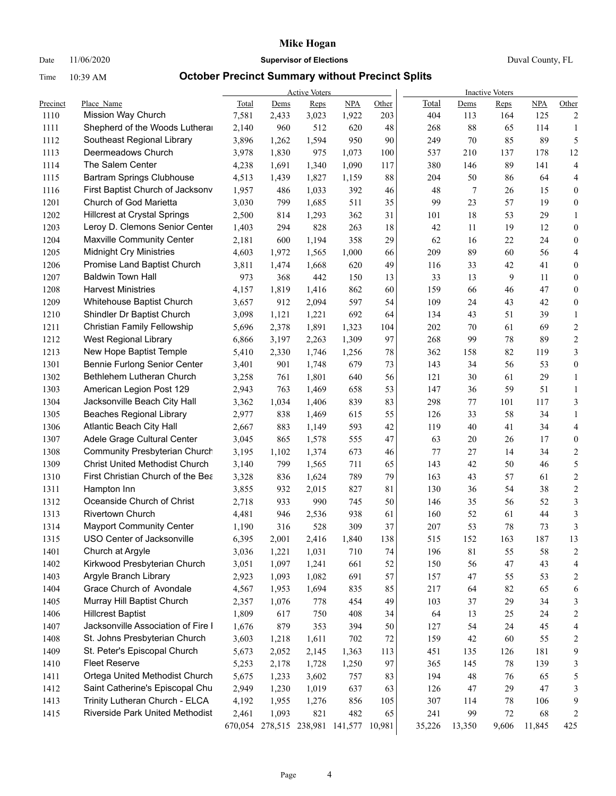### Date 11/06/2020 **Supervisor of Elections** Duval County, FL

|          |                                       |         |       | <b>Active Voters</b>    |       |        | <b>Inactive Voters</b> |         |       |            |                         |  |
|----------|---------------------------------------|---------|-------|-------------------------|-------|--------|------------------------|---------|-------|------------|-------------------------|--|
| Precinct | Place Name                            | Total   | Dems  | Reps                    | NPA   | Other  | Total                  | Dems    | Reps  | <b>NPA</b> | Other                   |  |
| 1110     | Mission Way Church                    | 7,581   | 2,433 | 3,023                   | 1,922 | 203    | 404                    | 113     | 164   | 125        | 2                       |  |
| 1111     | Shepherd of the Woods Lutheral        | 2,140   | 960   | 512                     | 620   | 48     | 268                    | 88      | 65    | 114        | 1                       |  |
| 1112     | Southeast Regional Library            | 3,896   | 1,262 | 1,594                   | 950   | 90     | 249                    | 70      | 85    | 89         | 5                       |  |
| 1113     | Deermeadows Church                    | 3,978   | 1,830 | 975                     | 1,073 | 100    | 537                    | 210     | 137   | 178        | 12                      |  |
| 1114     | The Salem Center                      | 4,238   | 1,691 | 1,340                   | 1,090 | 117    | 380                    | 146     | 89    | 141        | $\overline{4}$          |  |
| 1115     | <b>Bartram Springs Clubhouse</b>      | 4,513   | 1,439 | 1,827                   | 1,159 | 88     | 204                    | 50      | 86    | 64         | 4                       |  |
| 1116     | First Baptist Church of Jacksonv      | 1,957   | 486   | 1,033                   | 392   | 46     | 48                     | 7       | 26    | 15         | $\boldsymbol{0}$        |  |
| 1201     | Church of God Marietta                | 3,030   | 799   | 1,685                   | 511   | 35     | 99                     | 23      | 57    | 19         | $\boldsymbol{0}$        |  |
| 1202     | <b>Hillcrest at Crystal Springs</b>   | 2,500   | 814   | 1,293                   | 362   | 31     | 101                    | 18      | 53    | 29         | $\mathbf{1}$            |  |
| 1203     | Leroy D. Clemons Senior Center        | 1,403   | 294   | 828                     | 263   | $18\,$ | 42                     | 11      | 19    | 12         | $\boldsymbol{0}$        |  |
| 1204     | Maxville Community Center             | 2,181   | 600   | 1,194                   | 358   | 29     | 62                     | 16      | 22    | 24         | $\boldsymbol{0}$        |  |
| 1205     | <b>Midnight Cry Ministries</b>        | 4,603   | 1,972 | 1,565                   | 1,000 | 66     | 209                    | 89      | 60    | 56         | $\overline{4}$          |  |
| 1206     | Promise Land Baptist Church           | 3,811   | 1,474 | 1,668                   | 620   | 49     | 116                    | 33      | 42    | 41         | $\boldsymbol{0}$        |  |
| 1207     | <b>Baldwin Town Hall</b>              | 973     | 368   | 442                     | 150   | 13     | 33                     | 13      | 9     | 11         | $\boldsymbol{0}$        |  |
| 1208     | <b>Harvest Ministries</b>             | 4,157   | 1,819 | 1,416                   | 862   | 60     | 159                    | 66      | 46    | 47         | $\boldsymbol{0}$        |  |
| 1209     | Whitehouse Baptist Church             | 3,657   | 912   | 2,094                   | 597   | 54     | 109                    | 24      | 43    | 42         | $\boldsymbol{0}$        |  |
| 1210     | Shindler Dr Baptist Church            | 3,098   | 1,121 | 1,221                   | 692   | 64     | 134                    | 43      | 51    | 39         | $\mathbf{1}$            |  |
| 1211     | Christian Family Fellowship           | 5,696   | 2,378 | 1,891                   | 1,323 | 104    | 202                    | 70      | 61    | 69         | $\sqrt{2}$              |  |
| 1212     | <b>West Regional Library</b>          | 6,866   | 3,197 | 2,263                   | 1,309 | 97     | 268                    | 99      | 78    | 89         | $\overline{c}$          |  |
| 1213     | New Hope Baptist Temple               | 5,410   | 2,330 | 1,746                   | 1,256 | 78     | 362                    | 158     | 82    | 119        | 3                       |  |
| 1301     | Bennie Furlong Senior Center          | 3,401   | 901   | 1,748                   | 679   | 73     | 143                    | 34      | 56    | 53         | $\boldsymbol{0}$        |  |
| 1302     | Bethlehem Lutheran Church             | 3,258   | 761   | 1,801                   | 640   | 56     | 121                    | 30      | 61    | 29         | $\mathbf{1}$            |  |
| 1303     | American Legion Post 129              | 2,943   | 763   | 1,469                   | 658   | 53     | 147                    | 36      | 59    | 51         | $\mathbf{1}$            |  |
| 1304     | Jacksonville Beach City Hall          | 3,362   | 1,034 | 1,406                   | 839   | 83     | 298                    | $77 \,$ | 101   | 117        | 3                       |  |
| 1305     | <b>Beaches Regional Library</b>       | 2,977   | 838   | 1,469                   | 615   | 55     | 126                    | 33      | 58    | 34         | $\mathbf{1}$            |  |
| 1306     | Atlantic Beach City Hall              | 2,667   | 883   | 1,149                   | 593   | 42     | 119                    | 40      | 41    | 34         | $\overline{4}$          |  |
| 1307     | Adele Grage Cultural Center           | 3,045   | 865   | 1,578                   | 555   | 47     | 63                     | 20      | 26    | 17         | $\boldsymbol{0}$        |  |
| 1308     | <b>Community Presbyterian Church</b>  | 3,195   | 1,102 | 1,374                   | 673   | 46     | 77                     | 27      | 14    | 34         | $\sqrt{2}$              |  |
| 1309     | <b>Christ United Methodist Church</b> | 3,140   | 799   | 1,565                   | 711   | 65     | 143                    | 42      | 50    | 46         | 5                       |  |
| 1310     | First Christian Church of the Bea     | 3,328   | 836   | 1,624                   | 789   | 79     | 163                    | 43      | 57    | 61         | $\sqrt{2}$              |  |
| 1311     | Hampton Inn                           | 3,855   | 932   | 2,015                   | 827   | 81     | 130                    | 36      | 54    | 38         | $\sqrt{2}$              |  |
| 1312     | Oceanside Church of Christ            | 2,718   | 933   | 990                     | 745   | 50     | 146                    | 35      | 56    | 52         | $\mathfrak{Z}$          |  |
| 1313     | <b>Rivertown Church</b>               | 4,481   | 946   | 2,536                   | 938   | 61     | 160                    | 52      | 61    | 44         | 3                       |  |
| 1314     | <b>Mayport Community Center</b>       | 1,190   | 316   | 528                     | 309   | 37     | 207                    | 53      | 78    | 73         | 3                       |  |
| 1315     | USO Center of Jacksonville            | 6,395   | 2,001 | 2,416                   | 1,840 | 138    | 515                    | 152     | 163   | 187        | 13                      |  |
| 1401     | Church at Argyle                      | 3,036   | 1,221 | 1,031                   | 710   | 74     | 196                    | 81      | 55    | 58         | $\overline{\mathbf{c}}$ |  |
| 1402     | Kirkwood Presbyterian Church          | 3,051   | 1,097 | 1,241                   | 661   | 52     | 150                    | 56      | 47    | 43         | 4                       |  |
| 1403     | Argyle Branch Library                 | 2,923   | 1,093 | 1,082                   | 691   | 57     | 157                    | 47      | 55    | 53         | $\overline{c}$          |  |
| 1404     | Grace Church of Avondale              | 4,567   | 1,953 | 1,694                   | 835   | 85     | 217                    | 64      | 82    | 65         | 6                       |  |
| 1405     | Murray Hill Baptist Church            | 2,357   | 1,076 | 778                     | 454   | 49     | 103                    | 37      | 29    | 34         | 3                       |  |
| 1406     | <b>Hillcrest Baptist</b>              | 1,809   | 617   | 750                     | 408   | 34     | 64                     | 13      | 25    | 24         | $\overline{c}$          |  |
| 1407     | Jacksonville Association of Fire I    | 1,676   | 879   | 353                     | 394   | 50     | 127                    | 54      | 24    | 45         | 4                       |  |
| 1408     | St. Johns Presbyterian Church         | 3,603   | 1,218 | 1,611                   | 702   | 72     | 159                    | 42      | 60    | 55         | $\overline{c}$          |  |
| 1409     | St. Peter's Episcopal Church          | 5,673   | 2,052 | 2,145                   | 1,363 | 113    | 451                    | 135     | 126   | 181        | 9                       |  |
| 1410     | <b>Fleet Reserve</b>                  | 5,253   | 2,178 | 1,728                   | 1,250 | 97     | 365                    | 145     | 78    | 139        | 3                       |  |
| 1411     | Ortega United Methodist Church        | 5,675   | 1,233 | 3,602                   | 757   | 83     | 194                    | 48      | 76    | 65         | 5                       |  |
| 1412     | Saint Catherine's Episcopal Chu       | 2,949   | 1,230 | 1,019                   | 637   | 63     | 126                    | 47      | 29    | $47\,$     | 3                       |  |
| 1413     | Trinity Lutheran Church - ELCA        | 4,192   | 1,955 | 1,276                   | 856   | 105    | 307                    | 114     | 78    | 106        | 9                       |  |
| 1415     | Riverside Park United Methodist       | 2,461   | 1,093 | 821                     | 482   | 65     | 241                    | 99      | 72    | 68         | 2                       |  |
|          |                                       | 670,054 |       | 278,515 238,981 141,577 |       | 10,981 | 35,226                 | 13,350  | 9,606 | 11,845     | 425                     |  |